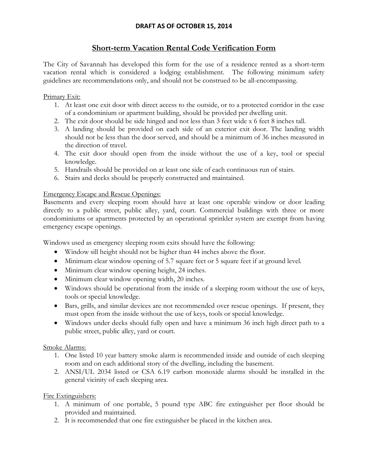## **DRAFT AS OF OCTOBER 15, 2014**

# **Short-term Vacation Rental Code Verification Form**

The City of Savannah has developed this form for the use of a residence rented as a short-term vacation rental which is considered a lodging establishment. The following minimum safety guidelines are recommendations only, and should not be construed to be all-encompassing.

#### Primary Exit:

- 1. At least one exit door with direct access to the outside, or to a protected corridor in the case of a condominium or apartment building, should be provided per dwelling unit.
- 2. The exit door should be side hinged and not less than 3 feet wide x 6 feet 8 inches tall.
- 3. A landing should be provided on each side of an exterior exit door. The landing width should not be less than the door served, and should be a minimum of 36 inches measured in the direction of travel.
- 4. The exit door should open from the inside without the use of a key, tool or special knowledge.
- 5. Handrails should be provided on at least one side of each continuous run of stairs.
- 6. Stairs and decks should be properly constructed and maintained.

#### Emergency Escape and Rescue Openings:

Basements and every sleeping room should have at least one operable window or door leading directly to a public street, public alley, yard, court. Commercial buildings with three or more condominiums or apartments protected by an operational sprinkler system are exempt from having emergency escape openings.

Windows used as emergency sleeping room exits should have the following:

- Window sill height should not be higher than 44 inches above the floor.
- Minimum clear window opening of 5.7 square feet or 5 square feet if at ground level.
- Minimum clear window opening height, 24 inches.
- Minimum clear window opening width, 20 inches.
- Windows should be operational from the inside of a sleeping room without the use of keys, tools or special knowledge.
- Bars, grills, and similar devices are not recommended over rescue openings. If present, they must open from the inside without the use of keys, tools or special knowledge.
- Windows under decks should fully open and have a minimum 36 inch high direct path to a public street, public alley, yard or court.

#### Smoke Alarms:

- 1. One listed 10 year battery smoke alarm is recommended inside and outside of each sleeping room and on each additional story of the dwelling, including the basement.
- 2. ANSI/UL 2034 listed or CSA 6.19 carbon monoxide alarms should be installed in the general vicinity of each sleeping area.

#### Fire Extinguishers:

- 1. A minimum of one portable, 5 pound type ABC fire extinguisher per floor should be provided and maintained.
- 2. It is recommended that one fire extinguisher be placed in the kitchen area.